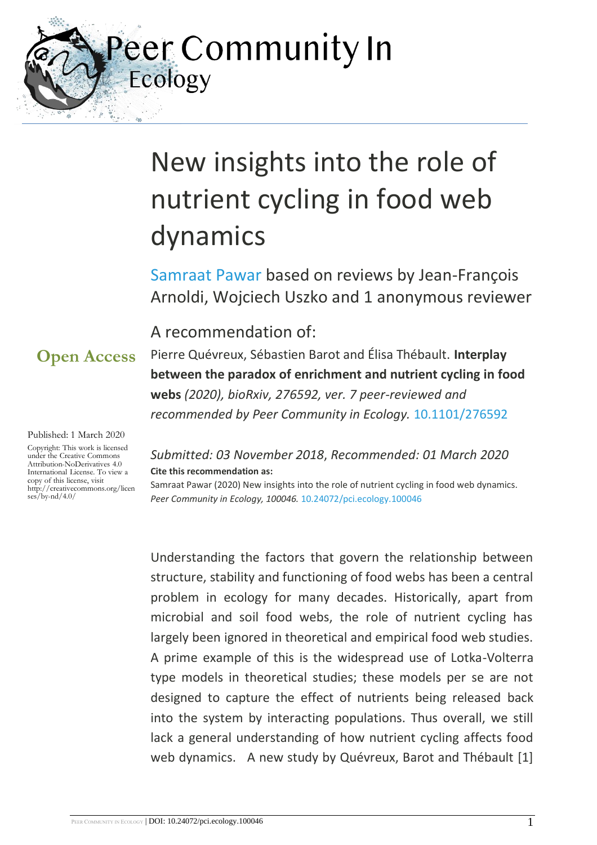eer Community In Ecology

# New insights into the role of nutrient cycling in food web dynamics

[Samraat Pawar](https://ecology.peercommunityin.org/public/viewUserCard?userId=264) based on reviews by Jean-François Arnoldi, Wojciech Uszko and 1 anonymous reviewer

### A recommendation of:

Pierre Quévreux, Sébastien Barot and Élisa Thébault. **Interplay between the paradox of enrichment and nutrient cycling in food webs** *(2020), bioRxiv, 276592, ver. 7 peer-reviewed and recommended by Peer Community in Ecology.* [10.1101/276592](https://doi.org/10.1101/276592)

#### Published: 1 March 2020

**Open Access**

Copyright: This work is licensed under the Creative Commons Attribution-NoDerivatives 4.0 International License. To view a copy of this license, visit http://creativecommons.org/licen  $ses/bv-nd/4.0/$ 

#### *Submitted: 03 November 2018*, *Recommended: 01 March 2020* **Cite this recommendation as:**

Samraat Pawar (2020) New insights into the role of nutrient cycling in food web dynamics. *Peer Community in Ecology, 100046.* [10.24072/pci.ecology.100046](https://doi.org/10.24072/pci.ecology.100046)

Understanding the factors that govern the relationship between structure, stability and functioning of food webs has been a central problem in ecology for many decades. Historically, apart from microbial and soil food webs, the role of nutrient cycling has largely been ignored in theoretical and empirical food web studies. A prime example of this is the widespread use of Lotka-Volterra type models in theoretical studies; these models per se are not designed to capture the effect of nutrients being released back into the system by interacting populations. Thus overall, we still lack a general understanding of how nutrient cycling affects food web dynamics. A new study by Quévreux, Barot and Thébault [1]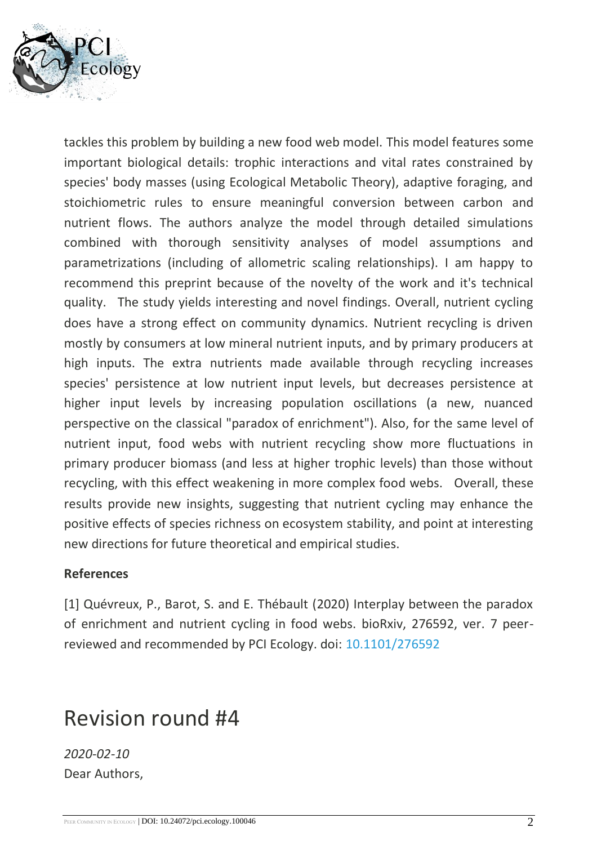

tackles this problem by building a new food web model. This model features some important biological details: trophic interactions and vital rates constrained by species' body masses (using Ecological Metabolic Theory), adaptive foraging, and stoichiometric rules to ensure meaningful conversion between carbon and nutrient flows. The authors analyze the model through detailed simulations combined with thorough sensitivity analyses of model assumptions and parametrizations (including of allometric scaling relationships). I am happy to recommend this preprint because of the novelty of the work and it's technical quality. The study yields interesting and novel findings. Overall, nutrient cycling does have a strong effect on community dynamics. Nutrient recycling is driven mostly by consumers at low mineral nutrient inputs, and by primary producers at high inputs. The extra nutrients made available through recycling increases species' persistence at low nutrient input levels, but decreases persistence at higher input levels by increasing population oscillations (a new, nuanced perspective on the classical "paradox of enrichment"). Also, for the same level of nutrient input, food webs with nutrient recycling show more fluctuations in primary producer biomass (and less at higher trophic levels) than those without recycling, with this effect weakening in more complex food webs. Overall, these results provide new insights, suggesting that nutrient cycling may enhance the positive effects of species richness on ecosystem stability, and point at interesting new directions for future theoretical and empirical studies.

#### **References**

[1] Quévreux, P., Barot, S. and E. Thébault (2020) Interplay between the paradox of enrichment and nutrient cycling in food webs. bioRxiv, 276592, ver. 7 peerreviewed and recommended by PCI Ecology. doi: [10.1101/276592](https://dx.doi.org/10.1101/276592)

## Revision round #4

*2020-02-10* Dear Authors,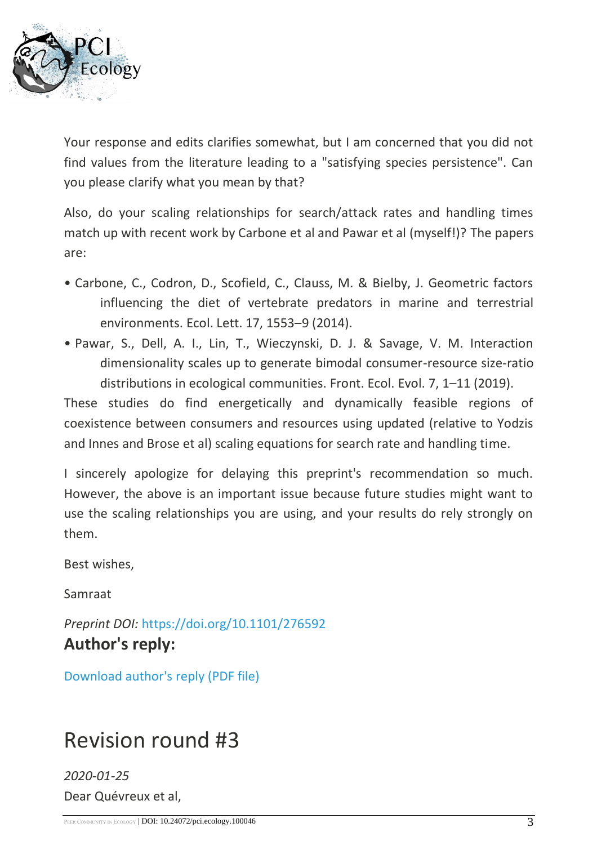

Your response and edits clarifies somewhat, but I am concerned that you did not find values from the literature leading to a "satisfying species persistence". Can you please clarify what you mean by that?

Also, do your scaling relationships for search/attack rates and handling times match up with recent work by Carbone et al and Pawar et al (myself!)? The papers are:

- Carbone, C., Codron, D., Scofield, C., Clauss, M. & Bielby, J. Geometric factors influencing the diet of vertebrate predators in marine and terrestrial environments. Ecol. Lett. 17, 1553–9 (2014).
- Pawar, S., Dell, A. I., Lin, T., Wieczynski, D. J. & Savage, V. M. Interaction dimensionality scales up to generate bimodal consumer-resource size-ratio distributions in ecological communities. Front. Ecol. Evol. 7, 1–11 (2019).

These studies do find energetically and dynamically feasible regions of coexistence between consumers and resources using updated (relative to Yodzis and Innes and Brose et al) scaling equations for search rate and handling time.

I sincerely apologize for delaying this preprint's recommendation so much. However, the above is an important issue because future studies might want to use the scaling relationships you are using, and your results do rely strongly on them.

Best wishes,

Samraat

*Preprint DOI:* <https://doi.org/10.1101/276592> **Author's reply:**

[Download author's reply \(PDF file\)](https://ecology.peercommunityin.org/download/t_recommendations.reply_pdf.ba93bfaa6206f2ab.526573706f6e736520746f2072657669657765727320726f756e6420342e706466.pdf)

## Revision round #3

*2020-01-25* Dear Quévreux et al,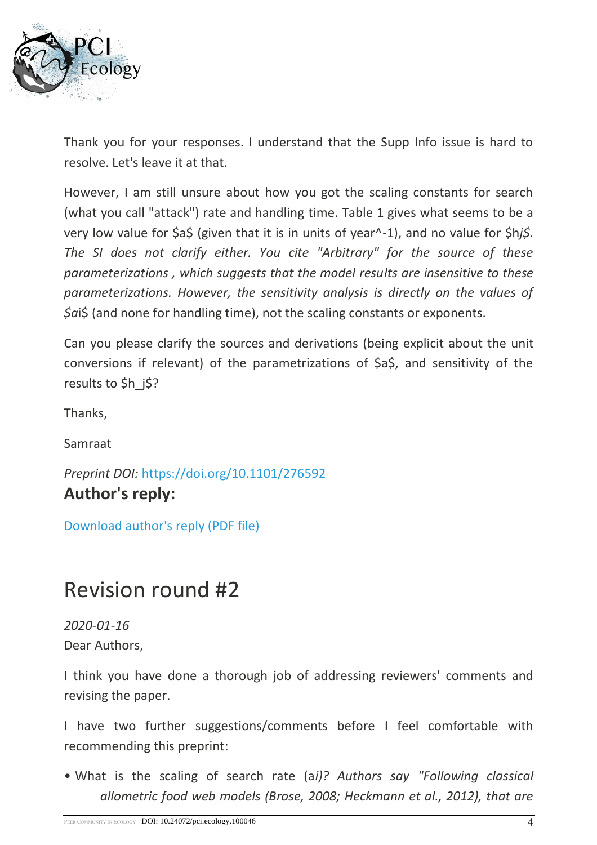

Thank you for your responses. I understand that the Supp Info issue is hard to resolve. Let's leave it at that.

However, I am still unsure about how you got the scaling constants for search (what you call "attack") rate and handling time. Table 1 gives what seems to be a very low value for \$a\$ (given that it is in units of year^-1), and no value for \$h*j\$. The SI does not clarify either. You cite "Arbitrary" for the source of these parameterizations , which suggests that the model results are insensitive to these parameterizations. However, the sensitivity analysis is directly on the values of \$a*i\$ (and none for handling time), not the scaling constants or exponents.

Can you please clarify the sources and derivations (being explicit about the unit conversions if relevant) of the parametrizations of \$a\$, and sensitivity of the results to \$h i\$?

Thanks,

Samraat

*Preprint DOI:* <https://doi.org/10.1101/276592> **Author's reply:**

[Download author's reply \(PDF file\)](https://ecology.peercommunityin.org/download/t_recommendations.reply_pdf.b0b945abfec20cc4.526573706f6e736520746f2072657669657765727320726f756e6420332e706466.pdf)

## Revision round #2

*2020-01-16* Dear Authors,

I think you have done a thorough job of addressing reviewers' comments and revising the paper.

I have two further suggestions/comments before I feel comfortable with recommending this preprint:

• What is the scaling of search rate (a*i)? Authors say "Following classical allometric food web models (Brose, 2008; Heckmann et al., 2012), that are*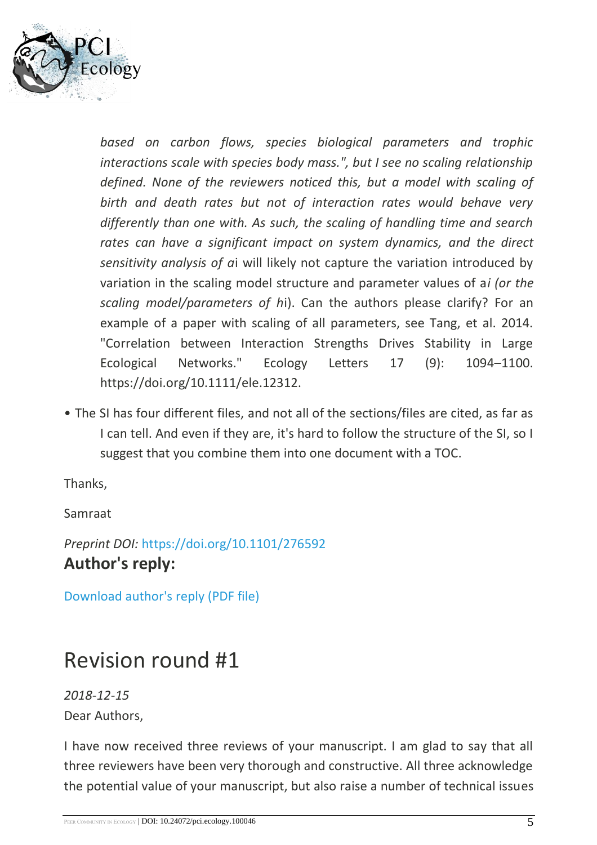

*based on carbon flows, species biological parameters and trophic interactions scale with species body mass.", but I see no scaling relationship defined. None of the reviewers noticed this, but a model with scaling of birth and death rates but not of interaction rates would behave very differently than one with. As such, the scaling of handling time and search rates can have a significant impact on system dynamics, and the direct sensitivity analysis of a*i will likely not capture the variation introduced by variation in the scaling model structure and parameter values of a*i (or the scaling model/parameters of h*i). Can the authors please clarify? For an example of a paper with scaling of all parameters, see Tang, et al. 2014. "Correlation between Interaction Strengths Drives Stability in Large Ecological Networks." Ecology Letters 17 (9): 1094–1100. https://doi.org/10.1111/ele.12312.

• The SI has four different files, and not all of the sections/files are cited, as far as I can tell. And even if they are, it's hard to follow the structure of the SI, so I suggest that you combine them into one document with a TOC.

Thanks,

Samraat

*Preprint DOI:* <https://doi.org/10.1101/276592> **Author's reply:**

[Download author's reply \(PDF file\)](https://ecology.peercommunityin.org/download/t_recommendations.reply_pdf.902c3d1cc99f7208.526573706f6e736520746f2072657669657765727320726f756e6420322e706466.pdf)

## Revision round #1

*2018-12-15* Dear Authors,

I have now received three reviews of your manuscript. I am glad to say that all three reviewers have been very thorough and constructive. All three acknowledge the potential value of your manuscript, but also raise a number of technical issues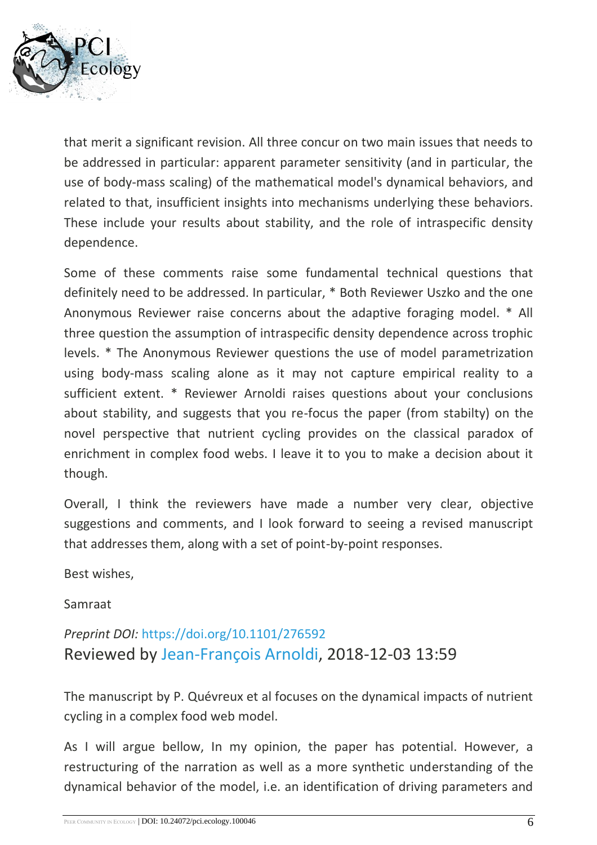

that merit a significant revision. All three concur on two main issues that needs to be addressed in particular: apparent parameter sensitivity (and in particular, the use of body-mass scaling) of the mathematical model's dynamical behaviors, and related to that, insufficient insights into mechanisms underlying these behaviors. These include your results about stability, and the role of intraspecific density dependence.

Some of these comments raise some fundamental technical questions that definitely need to be addressed. In particular, \* Both Reviewer Uszko and the one Anonymous Reviewer raise concerns about the adaptive foraging model. \* All three question the assumption of intraspecific density dependence across trophic levels. \* The Anonymous Reviewer questions the use of model parametrization using body-mass scaling alone as it may not capture empirical reality to a sufficient extent. \* Reviewer Arnoldi raises questions about your conclusions about stability, and suggests that you re-focus the paper (from stabilty) on the novel perspective that nutrient cycling provides on the classical paradox of enrichment in complex food webs. I leave it to you to make a decision about it though.

Overall, I think the reviewers have made a number very clear, objective suggestions and comments, and I look forward to seeing a revised manuscript that addresses them, along with a set of point-by-point responses.

Best wishes,

Samraat

### *Preprint DOI:* <https://doi.org/10.1101/276592> Reviewed by [Jean-François Arnoldi,](https://ecology.peercommunityin.org/public/viewUserCard?userId=593) 2018-12-03 13:59

The manuscript by P. Quévreux et al focuses on the dynamical impacts of nutrient cycling in a complex food web model.

As I will argue bellow, In my opinion, the paper has potential. However, a restructuring of the narration as well as a more synthetic understanding of the dynamical behavior of the model, i.e. an identification of driving parameters and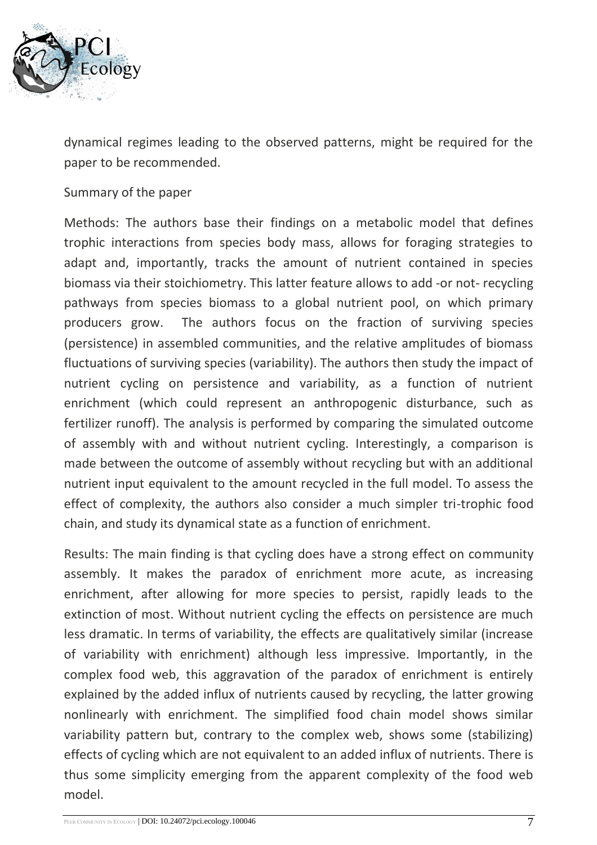

dynamical regimes leading to the observed patterns, might be required for the paper to be recommended.

#### Summary of the paper

Methods: The authors base their findings on a metabolic model that defines trophic interactions from species body mass, allows for foraging strategies to adapt and, importantly, tracks the amount of nutrient contained in species biomass via their stoichiometry. This latter feature allows to add -or not- recycling pathways from species biomass to a global nutrient pool, on which primary producers grow. The authors focus on the fraction of surviving species (persistence) in assembled communities, and the relative amplitudes of biomass fluctuations of surviving species (variability). The authors then study the impact of nutrient cycling on persistence and variability, as a function of nutrient enrichment (which could represent an anthropogenic disturbance, such as fertilizer runoff). The analysis is performed by comparing the simulated outcome of assembly with and without nutrient cycling. Interestingly, a comparison is made between the outcome of assembly without recycling but with an additional nutrient input equivalent to the amount recycled in the full model. To assess the effect of complexity, the authors also consider a much simpler tri-trophic food chain, and study its dynamical state as a function of enrichment.

Results: The main finding is that cycling does have a strong effect on community assembly. It makes the paradox of enrichment more acute, as increasing enrichment, after allowing for more species to persist, rapidly leads to the extinction of most. Without nutrient cycling the effects on persistence are much less dramatic. In terms of variability, the effects are qualitatively similar (increase of variability with enrichment) although less impressive. Importantly, in the complex food web, this aggravation of the paradox of enrichment is entirely explained by the added influx of nutrients caused by recycling, the latter growing nonlinearly with enrichment. The simplified food chain model shows similar variability pattern but, contrary to the complex web, shows some (stabilizing) effects of cycling which are not equivalent to an added influx of nutrients. There is thus some simplicity emerging from the apparent complexity of the food web model.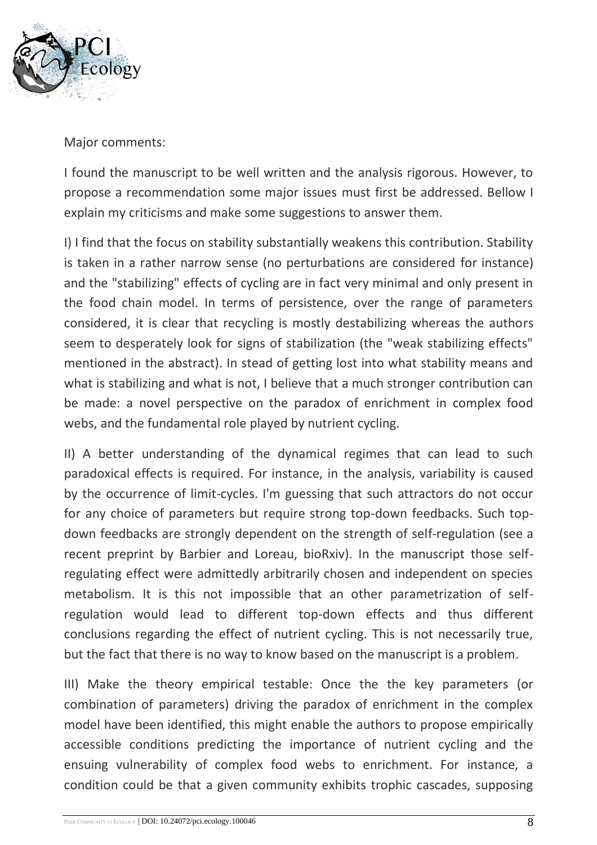

Major comments:

I found the manuscript to be well written and the analysis rigorous. However, to propose a recommendation some major issues must first be addressed. Bellow I explain my criticisms and make some suggestions to answer them.

I) I find that the focus on stability substantially weakens this contribution. Stability is taken in a rather narrow sense (no perturbations are considered for instance) and the "stabilizing" effects of cycling are in fact very minimal and only present in the food chain model. In terms of persistence, over the range of parameters considered, it is clear that recycling is mostly destabilizing whereas the authors seem to desperately look for signs of stabilization (the "weak stabilizing effects" mentioned in the abstract). In stead of getting lost into what stability means and what is stabilizing and what is not, I believe that a much stronger contribution can be made: a novel perspective on the paradox of enrichment in complex food webs, and the fundamental role played by nutrient cycling.

II) A better understanding of the dynamical regimes that can lead to such paradoxical effects is required. For instance, in the analysis, variability is caused by the occurrence of limit-cycles. I'm guessing that such attractors do not occur for any choice of parameters but require strong top-down feedbacks. Such topdown feedbacks are strongly dependent on the strength of self-regulation (see a recent preprint by Barbier and Loreau, bioRxiv). In the manuscript those selfregulating effect were admittedly arbitrarily chosen and independent on species metabolism. It is this not impossible that an other parametrization of selfregulation would lead to different top-down effects and thus different conclusions regarding the effect of nutrient cycling. This is not necessarily true, but the fact that there is no way to know based on the manuscript is a problem.

III) Make the theory empirical testable: Once the the key parameters (or combination of parameters) driving the paradox of enrichment in the complex model have been identified, this might enable the authors to propose empirically accessible conditions predicting the importance of nutrient cycling and the ensuing vulnerability of complex food webs to enrichment. For instance, a condition could be that a given community exhibits trophic cascades, supposing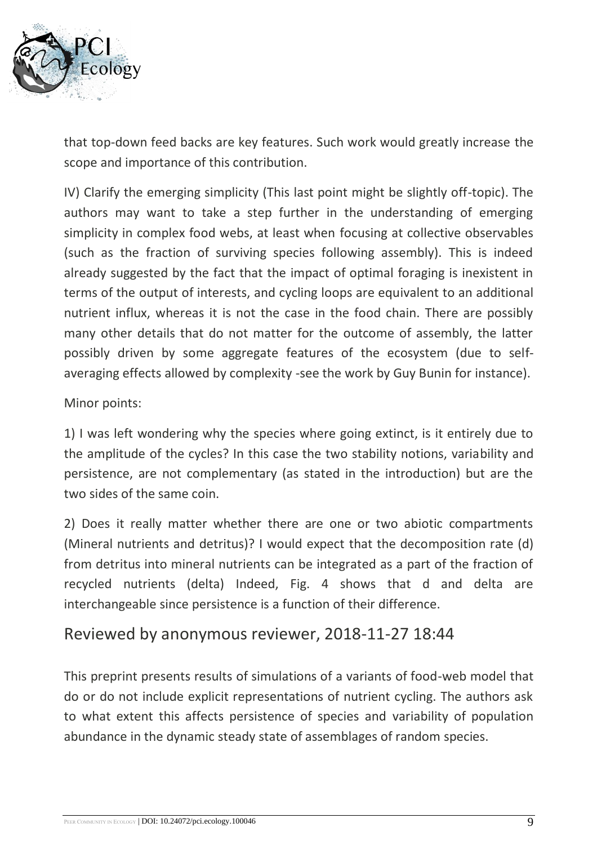

that top-down feed backs are key features. Such work would greatly increase the scope and importance of this contribution.

IV) Clarify the emerging simplicity (This last point might be slightly off-topic). The authors may want to take a step further in the understanding of emerging simplicity in complex food webs, at least when focusing at collective observables (such as the fraction of surviving species following assembly). This is indeed already suggested by the fact that the impact of optimal foraging is inexistent in terms of the output of interests, and cycling loops are equivalent to an additional nutrient influx, whereas it is not the case in the food chain. There are possibly many other details that do not matter for the outcome of assembly, the latter possibly driven by some aggregate features of the ecosystem (due to selfaveraging effects allowed by complexity -see the work by Guy Bunin for instance).

### Minor points:

1) I was left wondering why the species where going extinct, is it entirely due to the amplitude of the cycles? In this case the two stability notions, variability and persistence, are not complementary (as stated in the introduction) but are the two sides of the same coin.

2) Does it really matter whether there are one or two abiotic compartments (Mineral nutrients and detritus)? I would expect that the decomposition rate (d) from detritus into mineral nutrients can be integrated as a part of the fraction of recycled nutrients (delta) Indeed, Fig. 4 shows that d and delta are interchangeable since persistence is a function of their difference.

### Reviewed by anonymous reviewer, 2018-11-27 18:44

This preprint presents results of simulations of a variants of food-web model that do or do not include explicit representations of nutrient cycling. The authors ask to what extent this affects persistence of species and variability of population abundance in the dynamic steady state of assemblages of random species.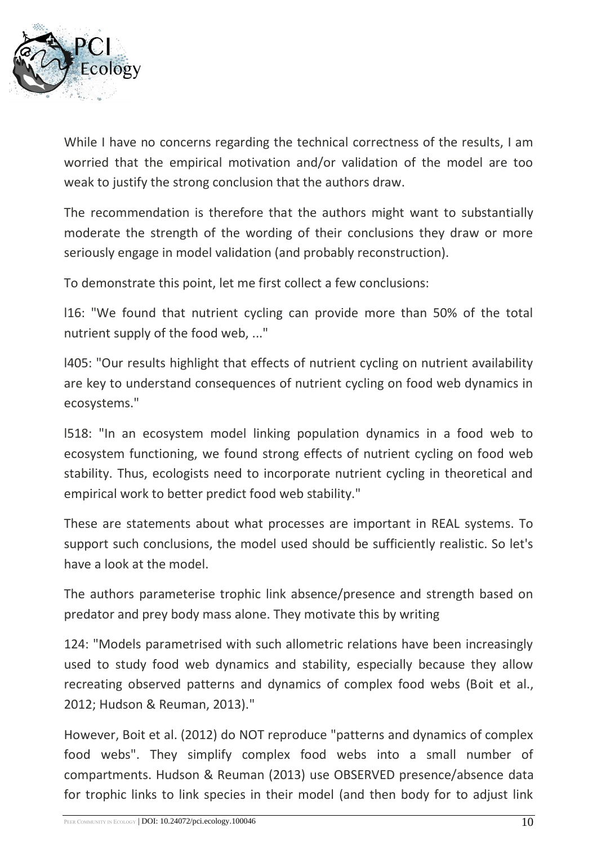

While I have no concerns regarding the technical correctness of the results, I am worried that the empirical motivation and/or validation of the model are too weak to justify the strong conclusion that the authors draw.

The recommendation is therefore that the authors might want to substantially moderate the strength of the wording of their conclusions they draw or more seriously engage in model validation (and probably reconstruction).

To demonstrate this point, let me first collect a few conclusions:

l16: "We found that nutrient cycling can provide more than 50% of the total nutrient supply of the food web, ..."

l405: "Our results highlight that effects of nutrient cycling on nutrient availability are key to understand consequences of nutrient cycling on food web dynamics in ecosystems."

l518: "In an ecosystem model linking population dynamics in a food web to ecosystem functioning, we found strong effects of nutrient cycling on food web stability. Thus, ecologists need to incorporate nutrient cycling in theoretical and empirical work to better predict food web stability."

These are statements about what processes are important in REAL systems. To support such conclusions, the model used should be sufficiently realistic. So let's have a look at the model.

The authors parameterise trophic link absence/presence and strength based on predator and prey body mass alone. They motivate this by writing

124: "Models parametrised with such allometric relations have been increasingly used to study food web dynamics and stability, especially because they allow recreating observed patterns and dynamics of complex food webs (Boit et al., 2012; Hudson & Reuman, 2013)."

However, Boit et al. (2012) do NOT reproduce "patterns and dynamics of complex food webs". They simplify complex food webs into a small number of compartments. Hudson & Reuman (2013) use OBSERVED presence/absence data for trophic links to link species in their model (and then body for to adjust link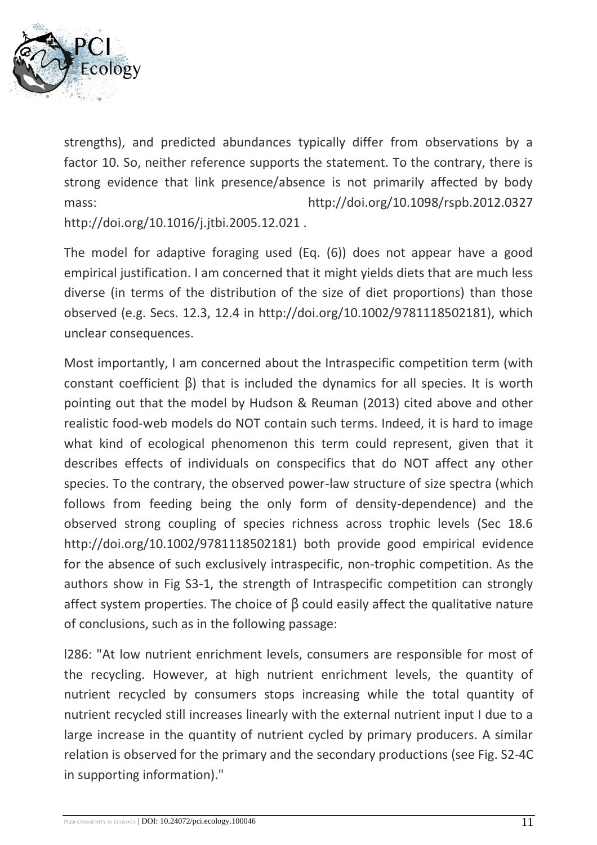

strengths), and predicted abundances typically differ from observations by a factor 10. So, neither reference supports the statement. To the contrary, there is strong evidence that link presence/absence is not primarily affected by body mass: http://doi.org/10.1098/rspb.2012.0327 http://doi.org/10.1016/j.jtbi.2005.12.021 .

The model for adaptive foraging used (Eq. (6)) does not appear have a good empirical justification. I am concerned that it might yields diets that are much less diverse (in terms of the distribution of the size of diet proportions) than those observed (e.g. Secs. 12.3, 12.4 in http://doi.org/10.1002/9781118502181), which unclear consequences.

Most importantly, I am concerned about the Intraspecific competition term (with constant coefficient β) that is included the dynamics for all species. It is worth pointing out that the model by Hudson & Reuman (2013) cited above and other realistic food-web models do NOT contain such terms. Indeed, it is hard to image what kind of ecological phenomenon this term could represent, given that it describes effects of individuals on conspecifics that do NOT affect any other species. To the contrary, the observed power-law structure of size spectra (which follows from feeding being the only form of density-dependence) and the observed strong coupling of species richness across trophic levels (Sec 18.6 http://doi.org/10.1002/9781118502181) both provide good empirical evidence for the absence of such exclusively intraspecific, non-trophic competition. As the authors show in Fig S3-1, the strength of Intraspecific competition can strongly affect system properties. The choice of  $\beta$  could easily affect the qualitative nature of conclusions, such as in the following passage:

l286: "At low nutrient enrichment levels, consumers are responsible for most of the recycling. However, at high nutrient enrichment levels, the quantity of nutrient recycled by consumers stops increasing while the total quantity of nutrient recycled still increases linearly with the external nutrient input I due to a large increase in the quantity of nutrient cycled by primary producers. A similar relation is observed for the primary and the secondary productions (see Fig. S2-4C in supporting information)."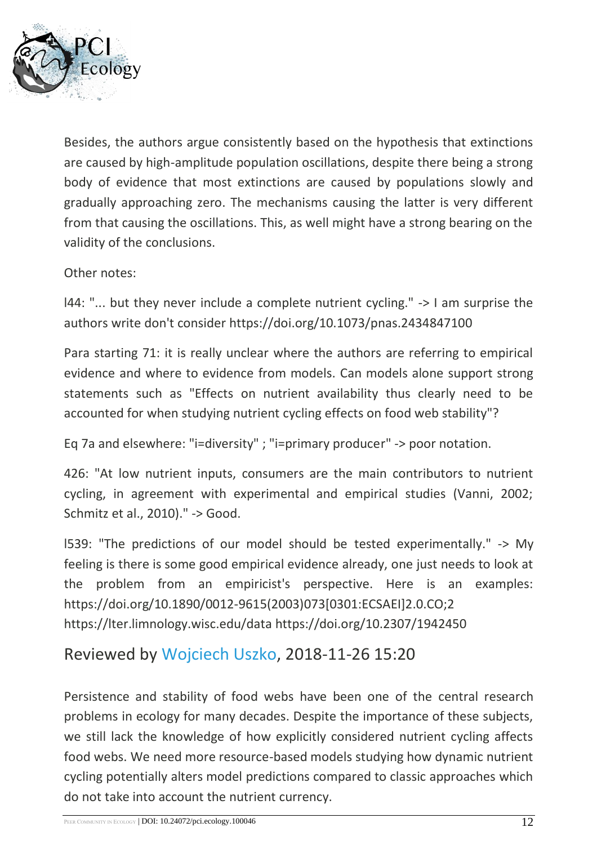

Besides, the authors argue consistently based on the hypothesis that extinctions are caused by high-amplitude population oscillations, despite there being a strong body of evidence that most extinctions are caused by populations slowly and gradually approaching zero. The mechanisms causing the latter is very different from that causing the oscillations. This, as well might have a strong bearing on the validity of the conclusions.

Other notes:

l44: "... but they never include a complete nutrient cycling." -> I am surprise the authors write don't consider https://doi.org/10.1073/pnas.2434847100

Para starting 71: it is really unclear where the authors are referring to empirical evidence and where to evidence from models. Can models alone support strong statements such as "Effects on nutrient availability thus clearly need to be accounted for when studying nutrient cycling effects on food web stability"?

Eq 7a and elsewhere: "i=diversity" ; "i=primary producer" -> poor notation.

426: "At low nutrient inputs, consumers are the main contributors to nutrient cycling, in agreement with experimental and empirical studies (Vanni, 2002; Schmitz et al., 2010)." -> Good.

l539: "The predictions of our model should be tested experimentally." -> My feeling is there is some good empirical evidence already, one just needs to look at the problem from an empiricist's perspective. Here is an examples: https://doi.org/10.1890/0012-9615(2003)073[0301:ECSAEI]2.0.CO;2 https://lter.limnology.wisc.edu/data https://doi.org/10.2307/1942450

### Reviewed by [Wojciech Uszko,](https://ecology.peercommunityin.org/public/viewUserCard?userId=632) 2018-11-26 15:20

Persistence and stability of food webs have been one of the central research problems in ecology for many decades. Despite the importance of these subjects, we still lack the knowledge of how explicitly considered nutrient cycling affects food webs. We need more resource-based models studying how dynamic nutrient cycling potentially alters model predictions compared to classic approaches which do not take into account the nutrient currency.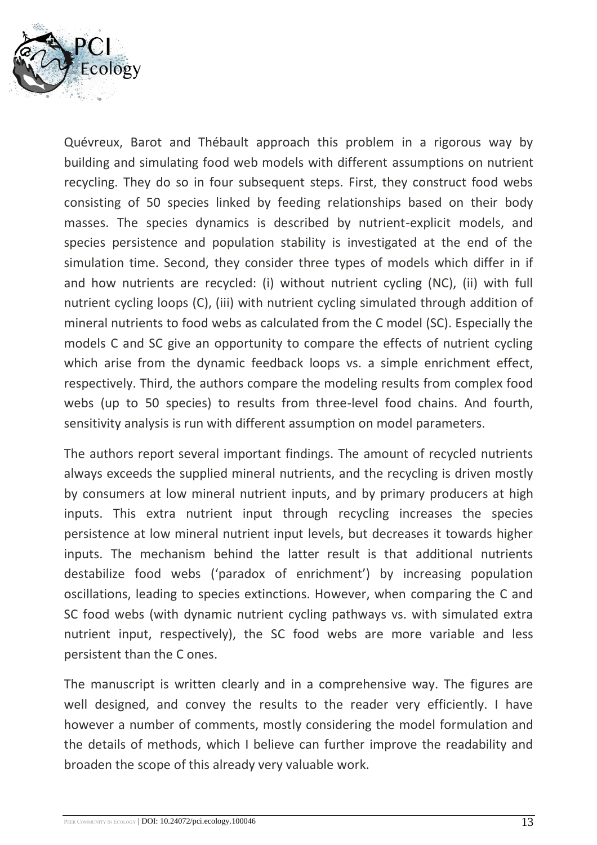

Quévreux, Barot and Thébault approach this problem in a rigorous way by building and simulating food web models with different assumptions on nutrient recycling. They do so in four subsequent steps. First, they construct food webs consisting of 50 species linked by feeding relationships based on their body masses. The species dynamics is described by nutrient-explicit models, and species persistence and population stability is investigated at the end of the simulation time. Second, they consider three types of models which differ in if and how nutrients are recycled: (i) without nutrient cycling (NC), (ii) with full nutrient cycling loops (C), (iii) with nutrient cycling simulated through addition of mineral nutrients to food webs as calculated from the C model (SC). Especially the models C and SC give an opportunity to compare the effects of nutrient cycling which arise from the dynamic feedback loops vs. a simple enrichment effect, respectively. Third, the authors compare the modeling results from complex food webs (up to 50 species) to results from three-level food chains. And fourth, sensitivity analysis is run with different assumption on model parameters.

The authors report several important findings. The amount of recycled nutrients always exceeds the supplied mineral nutrients, and the recycling is driven mostly by consumers at low mineral nutrient inputs, and by primary producers at high inputs. This extra nutrient input through recycling increases the species persistence at low mineral nutrient input levels, but decreases it towards higher inputs. The mechanism behind the latter result is that additional nutrients destabilize food webs ('paradox of enrichment') by increasing population oscillations, leading to species extinctions. However, when comparing the C and SC food webs (with dynamic nutrient cycling pathways vs. with simulated extra nutrient input, respectively), the SC food webs are more variable and less persistent than the C ones.

The manuscript is written clearly and in a comprehensive way. The figures are well designed, and convey the results to the reader very efficiently. I have however a number of comments, mostly considering the model formulation and the details of methods, which I believe can further improve the readability and broaden the scope of this already very valuable work.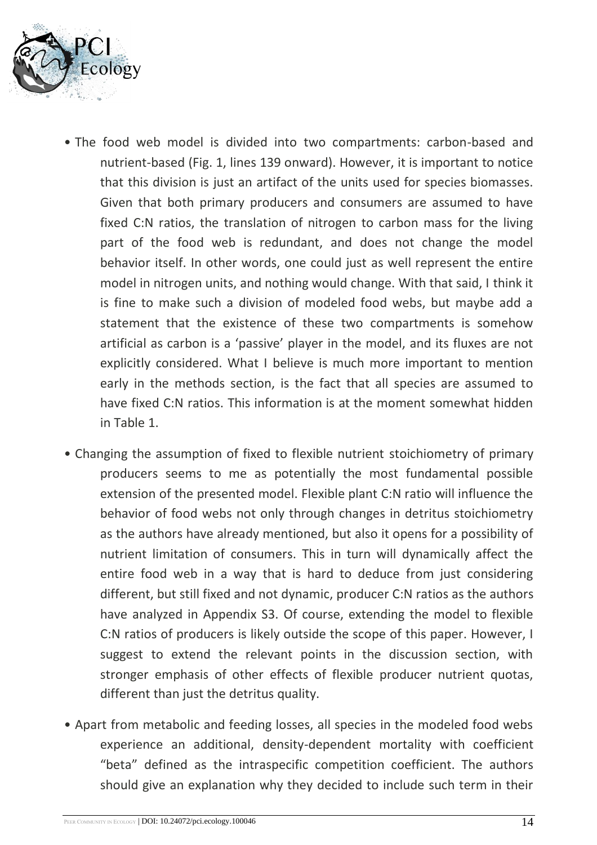

- The food web model is divided into two compartments: carbon-based and nutrient-based (Fig. 1, lines 139 onward). However, it is important to notice that this division is just an artifact of the units used for species biomasses. Given that both primary producers and consumers are assumed to have fixed C:N ratios, the translation of nitrogen to carbon mass for the living part of the food web is redundant, and does not change the model behavior itself. In other words, one could just as well represent the entire model in nitrogen units, and nothing would change. With that said, I think it is fine to make such a division of modeled food webs, but maybe add a statement that the existence of these two compartments is somehow artificial as carbon is a 'passive' player in the model, and its fluxes are not explicitly considered. What I believe is much more important to mention early in the methods section, is the fact that all species are assumed to have fixed C:N ratios. This information is at the moment somewhat hidden in Table 1.
- Changing the assumption of fixed to flexible nutrient stoichiometry of primary producers seems to me as potentially the most fundamental possible extension of the presented model. Flexible plant C:N ratio will influence the behavior of food webs not only through changes in detritus stoichiometry as the authors have already mentioned, but also it opens for a possibility of nutrient limitation of consumers. This in turn will dynamically affect the entire food web in a way that is hard to deduce from just considering different, but still fixed and not dynamic, producer C:N ratios as the authors have analyzed in Appendix S3. Of course, extending the model to flexible C:N ratios of producers is likely outside the scope of this paper. However, I suggest to extend the relevant points in the discussion section, with stronger emphasis of other effects of flexible producer nutrient quotas, different than just the detritus quality.
- Apart from metabolic and feeding losses, all species in the modeled food webs experience an additional, density-dependent mortality with coefficient "beta" defined as the intraspecific competition coefficient. The authors should give an explanation why they decided to include such term in their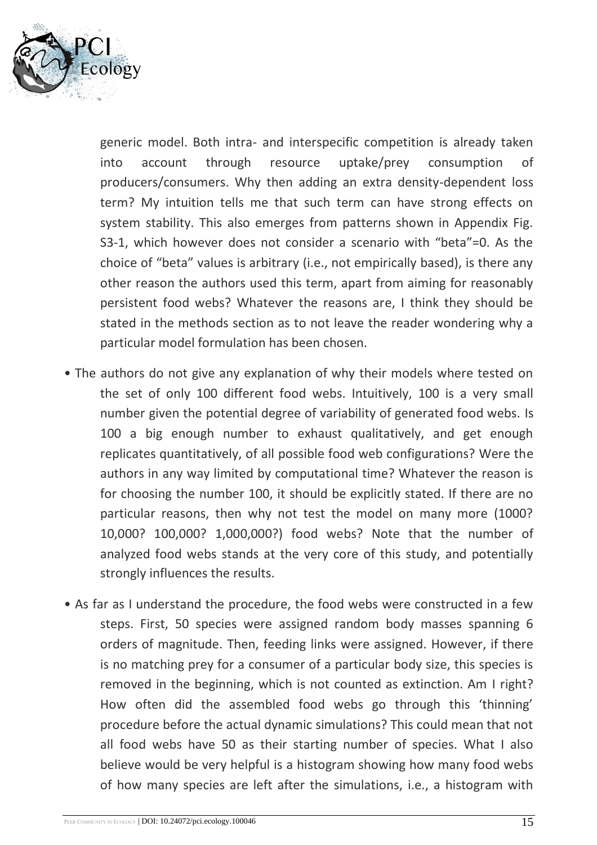

generic model. Both intra- and interspecific competition is already taken into account through resource uptake/prey consumption of producers/consumers. Why then adding an extra density-dependent loss term? My intuition tells me that such term can have strong effects on system stability. This also emerges from patterns shown in Appendix Fig. S3-1, which however does not consider a scenario with "beta"=0. As the choice of "beta" values is arbitrary (i.e., not empirically based), is there any other reason the authors used this term, apart from aiming for reasonably persistent food webs? Whatever the reasons are, I think they should be stated in the methods section as to not leave the reader wondering why a particular model formulation has been chosen.

- The authors do not give any explanation of why their models where tested on the set of only 100 different food webs. Intuitively, 100 is a very small number given the potential degree of variability of generated food webs. Is 100 a big enough number to exhaust qualitatively, and get enough replicates quantitatively, of all possible food web configurations? Were the authors in any way limited by computational time? Whatever the reason is for choosing the number 100, it should be explicitly stated. If there are no particular reasons, then why not test the model on many more (1000? 10,000? 100,000? 1,000,000?) food webs? Note that the number of analyzed food webs stands at the very core of this study, and potentially strongly influences the results.
- As far as I understand the procedure, the food webs were constructed in a few steps. First, 50 species were assigned random body masses spanning 6 orders of magnitude. Then, feeding links were assigned. However, if there is no matching prey for a consumer of a particular body size, this species is removed in the beginning, which is not counted as extinction. Am I right? How often did the assembled food webs go through this 'thinning' procedure before the actual dynamic simulations? This could mean that not all food webs have 50 as their starting number of species. What I also believe would be very helpful is a histogram showing how many food webs of how many species are left after the simulations, i.e., a histogram with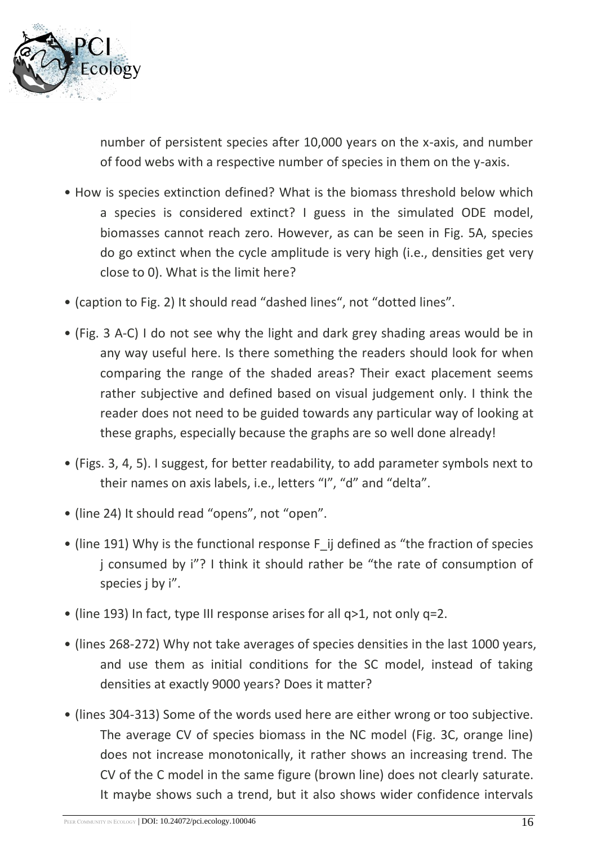

number of persistent species after 10,000 years on the x-axis, and number of food webs with a respective number of species in them on the y-axis.

- How is species extinction defined? What is the biomass threshold below which a species is considered extinct? I guess in the simulated ODE model, biomasses cannot reach zero. However, as can be seen in Fig. 5A, species do go extinct when the cycle amplitude is very high (i.e., densities get very close to 0). What is the limit here?
- (caption to Fig. 2) It should read "dashed lines", not "dotted lines".
- (Fig. 3 A-C) I do not see why the light and dark grey shading areas would be in any way useful here. Is there something the readers should look for when comparing the range of the shaded areas? Their exact placement seems rather subjective and defined based on visual judgement only. I think the reader does not need to be guided towards any particular way of looking at these graphs, especially because the graphs are so well done already!
- (Figs. 3, 4, 5). I suggest, for better readability, to add parameter symbols next to their names on axis labels, i.e., letters "I", "d" and "delta".
- (line 24) It should read "opens", not "open".
- (line 191) Why is the functional response F ij defined as "the fraction of species j consumed by i"? I think it should rather be "the rate of consumption of species j by i".
- (line 193) In fact, type III response arises for all q>1, not only q=2.
- (lines 268-272) Why not take averages of species densities in the last 1000 years, and use them as initial conditions for the SC model, instead of taking densities at exactly 9000 years? Does it matter?
- (lines 304-313) Some of the words used here are either wrong or too subjective. The average CV of species biomass in the NC model (Fig. 3C, orange line) does not increase monotonically, it rather shows an increasing trend. The CV of the C model in the same figure (brown line) does not clearly saturate. It maybe shows such a trend, but it also shows wider confidence intervals